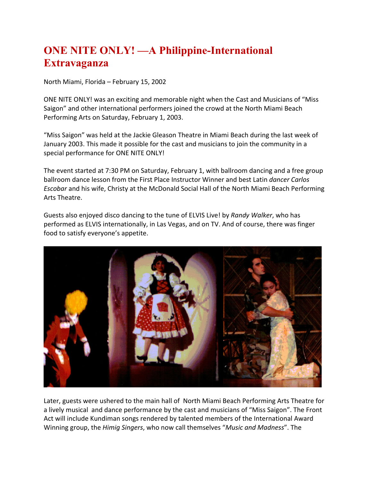## **ONE NITE ONLY! —A Philippine-International Extravaganza**

North Miami, Florida – February 15, 2002

ONE NITE ONLY! was an exciting and memorable night when the Cast and Musicians of "Miss Saigon" and other international performers joined the crowd at the North Miami Beach Performing Arts on Saturday, February 1, 2003.

"Miss Saigon" was held at the Jackie Gleason Theatre in Miami Beach during the last week of January 2003. This made it possible for the cast and musicians to join the community in a special performance for ONE NITE ONLY!

The event started at 7:30 PM on Saturday, February 1, with ballroom dancing and a free group ballroom dance lesson from the First Place Instructor Winner and best Latin *dancer Carlos Escobar* and his wife, Christy at the McDonald Social Hall of the North Miami Beach Performing Arts Theatre.

Guests also enjoyed disco dancing to the tune of ELVIS Live! by *Randy Walker*, who has performed as ELVIS internationally, in Las Vegas, and on TV. And of course, there was finger food to satisfy everyone's appetite.



Later, guests were ushered to the main hall of North Miami Beach Performing Arts Theatre for a lively musical and dance performance by the cast and musicians of "Miss Saigon". The Front Act will include Kundiman songs rendered by talented members of the International Award Winning group, the *Himig Singers*, who now call themselves "*Music and Madness*". The